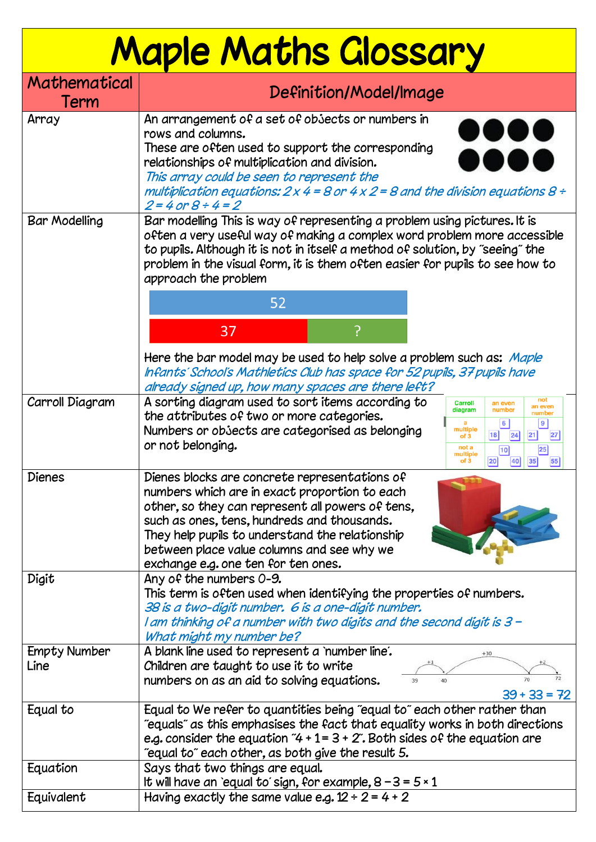## Maple Maths Glossary

| Mathematical<br>Term        | Definition/Model/Image                                                                                                                                                                                                                                                                                                                                                                                                  |
|-----------------------------|-------------------------------------------------------------------------------------------------------------------------------------------------------------------------------------------------------------------------------------------------------------------------------------------------------------------------------------------------------------------------------------------------------------------------|
| Array                       | An arrangement of a set of objects or numbers in<br>rows and columns.<br>These are often used to support the corresponding<br>relationships of multiplication and division.<br>This array could be seen to represent the<br>multiplication equations: 2 x 4 = 8 or 4 x 2 = 8 and the division equations 8 ÷<br>$2 = 4$ or $8 \div 4 = 2$                                                                                |
| <b>Bar Modelling</b>        | Bar modelling This is way of representing a problem using pictures. It is<br>often a very useful way of making a complex word problem more accessible<br>to pupils. Although it is not in itself a method of solution, by "seeing" the<br>problem in the visual form, it is them often easier for pupils to see how to<br>approach the problem                                                                          |
|                             | 52                                                                                                                                                                                                                                                                                                                                                                                                                      |
|                             | ၣ<br>37                                                                                                                                                                                                                                                                                                                                                                                                                 |
|                             | Here the bar model may be used to help solve a problem such as: Maple<br>Infants' School's Mathletics Club has space for 52 pupils, 37 pupils have<br>already signed up, how many spaces are there left?                                                                                                                                                                                                                |
| Carroll Diagram             | A sorting diagram used to sort items according to<br>not<br><b>Carroll</b><br>an even<br>an even<br>diagram<br>number<br>number<br>the attributes of two or more categories.<br>9 <sup>1</sup><br>6 <br>multiple<br>Numbers or obsects are categorised as belonging<br>21<br>18<br> 24 <br>27<br>of <sub>3</sub><br>or not belonging.<br>not a<br>25<br> 10 <br>multiple<br>of <sub>3</sub><br> 20 <br>40<br> 35 <br>55 |
| <b>Dienes</b>               | Dienes blocks are concrete representations of<br>numbers which are in exact proportion to each<br>other, so they can represent all powers of tens,<br>such as ones, tens, hundreds and thousands.<br>They help pupils to understand the relationship<br>between place value columns and see why we<br>exchange e.g. one ten for ten ones.                                                                               |
| Digit                       | Any of the numbers $0-9$ .<br>This term is often used when identifying the properties of numbers.<br>38 is a two-digit number. 6 is a one-digit number.<br>I am thinking of a number with two digits and the second digit is 3 -<br>What might my number be?                                                                                                                                                            |
| <b>Empty Number</b><br>Line | A blank line used to represent a `number line'.<br>Children are taught to use it to write<br>numbers on as an aid to solving equations.<br>70<br>40<br>39<br>$39 + 33 = 72$                                                                                                                                                                                                                                             |
| Equal to                    | Equal to We refer to quantities being "equal to" each other rather than<br>equals" as this emphasises the fact that equality works in both directions"<br>e.g. consider the equation "4 + 1 = 3 + 2". Both sides of the equation are<br>"equal to" each other, as both give the result 5.                                                                                                                               |
| Equation                    | Says that two things are equal.<br>It will have an `equal to' sign, for example, $8 - 3 = 5 \times 1$                                                                                                                                                                                                                                                                                                                   |
| Equivalent                  | Having exactly the same value e.g. $12 \div 2 = 4 + 2$                                                                                                                                                                                                                                                                                                                                                                  |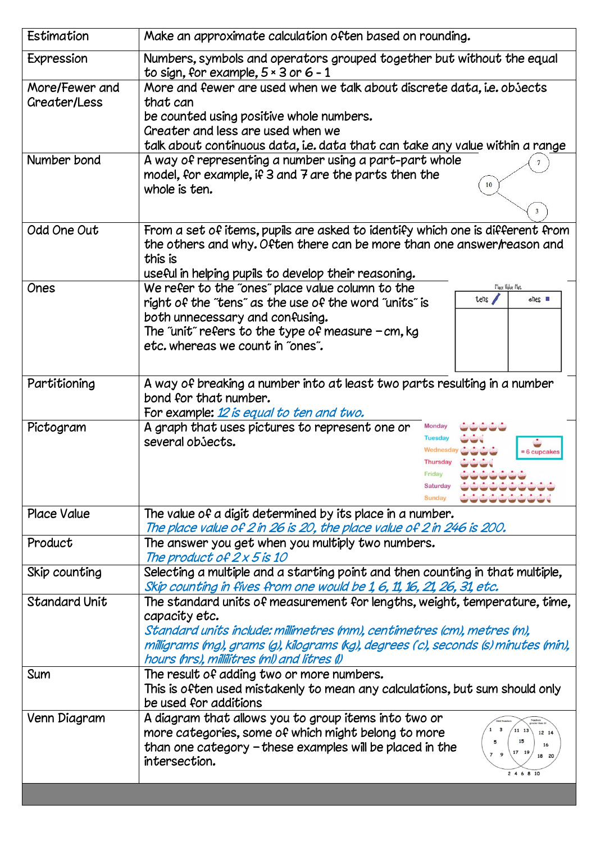| Estimation           | Make an approximate calculation often based on rounding.                                                                                                                                                                   |
|----------------------|----------------------------------------------------------------------------------------------------------------------------------------------------------------------------------------------------------------------------|
| Expression           | Numbers, symbols and operators grouped together but without the equal<br>to sign, for example, $5 \times 3$ or $6 - 1$                                                                                                     |
| More/Fewer and       | More and fewer are used when we talk about discrete data, i.e. obsects                                                                                                                                                     |
| Greater/Less         | that can                                                                                                                                                                                                                   |
|                      | be counted using positive whole numbers.                                                                                                                                                                                   |
|                      | Greater and less are used when we                                                                                                                                                                                          |
|                      | talk about continuous data, i.e. data that can take any value within a range                                                                                                                                               |
| Number bond          | A way of representing a number using a part-part whole<br>model, for example, if 3 and 7 are the parts then the<br>10<br>whole is ten.<br>3                                                                                |
|                      |                                                                                                                                                                                                                            |
| Odd One Out          | From a set of items, pupils are asked to identify which one is different from<br>the others and why. Often there can be more than one answer/reason and<br>this is<br>useful in helping pupils to develop their reasoning. |
| Ones                 | Place Valoe Mat.<br>We refer to the "ones" place value column to the                                                                                                                                                       |
|                      | tehs /<br>$\mathsf{shes}$<br>right of the "tens" as the use of the word "units" is<br>both unnecessary and confusing.<br>The "unit" refers to the type of measure $-cm$ , kg<br>etc. whereas we count in "ones".           |
| Partitioning         |                                                                                                                                                                                                                            |
|                      | A way of breaking a number into at least two parts resulting in a number<br>bond for that number.                                                                                                                          |
|                      |                                                                                                                                                                                                                            |
|                      | For example: 12 is equal to ten and two.<br>Monday                                                                                                                                                                         |
| Pictogram            | A graph that uses pictures to represent one or<br>Tuesda<br>several objects.<br>= 6 cupcake<br>Thursda<br>Saturday<br>Sunda                                                                                                |
| <b>Place Value</b>   | The value of a digit determined by its place in a number.<br>The place value of 2 in 26 is 20, the place value of 2 in 246 is 200.                                                                                         |
| Product              | The answer you get when you multiply two numbers.                                                                                                                                                                          |
|                      | The product of 2 x 5 is 10                                                                                                                                                                                                 |
| Skip counting        | Selecting a multiple and a starting point and then counting in that multiple,                                                                                                                                              |
|                      | Skip counting in fives from one would be 1, 6, 11, 16, 21, 26, 31, etc.                                                                                                                                                    |
| <b>Standard Unit</b> | The standard units of measurement for lengths, weight, temperature, time,                                                                                                                                                  |
|                      | capacity etc.                                                                                                                                                                                                              |
|                      | Standard units include: millimetres (mm), centimetres (cm), metres (m),                                                                                                                                                    |
|                      | milligrams (mg), grams (g), kilograms (kg), degrees (c), seconds (s) minutes (min),                                                                                                                                        |
|                      | hours (hrs), millilitres (ml) and litres (l)                                                                                                                                                                               |
| Sum                  | The result of adding two or more numbers.                                                                                                                                                                                  |
|                      | This is often used mistakenly to mean any calculations, but sum should only<br>be used for additions                                                                                                                       |
| Venn Diagram         | A diagram that allows you to group items into two or                                                                                                                                                                       |
|                      | $\overline{\mathbf{3}}$<br>more categories, some of which might belong to more<br>11 13<br>12 14<br>than one category - these examples will be placed in the<br>16<br>intersection.<br>2 4 6 8 10                          |
|                      |                                                                                                                                                                                                                            |